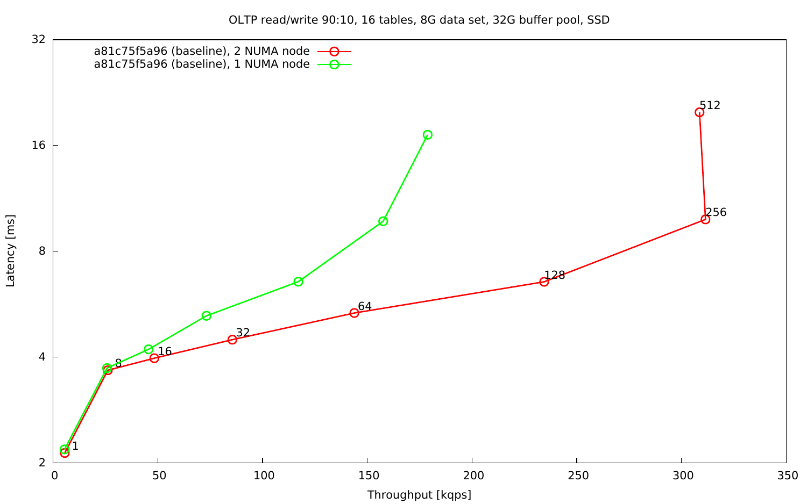OLTP read/write 90:10, 16 tables, 8G data set, 32G buffer pool, SSD

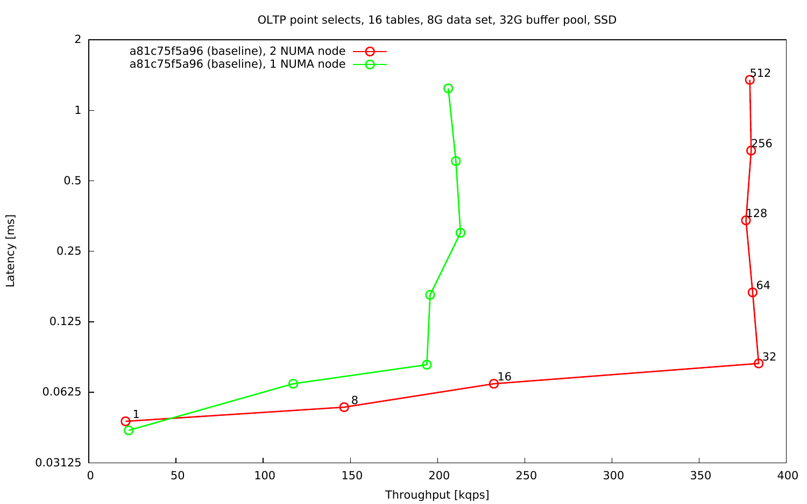OLTP point selects, 16 tables, 8G data set, 32G buffer pool, SSD

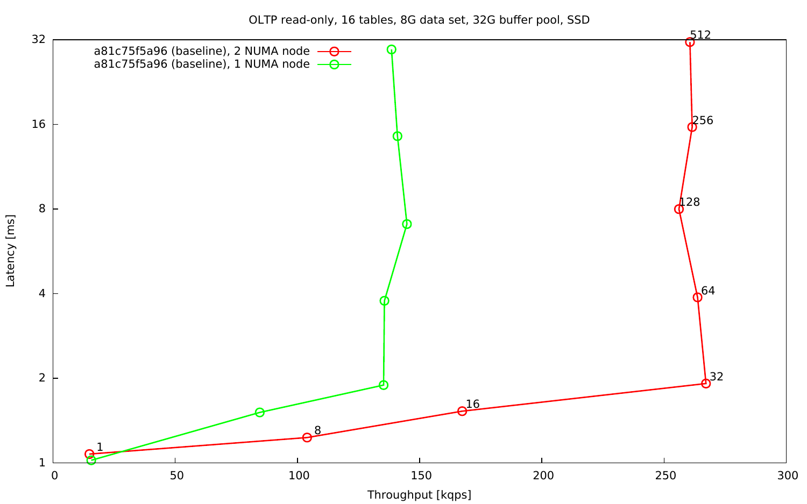OLTP read-only, 16 tables, 8G data set, 32G buffer pool, SSD

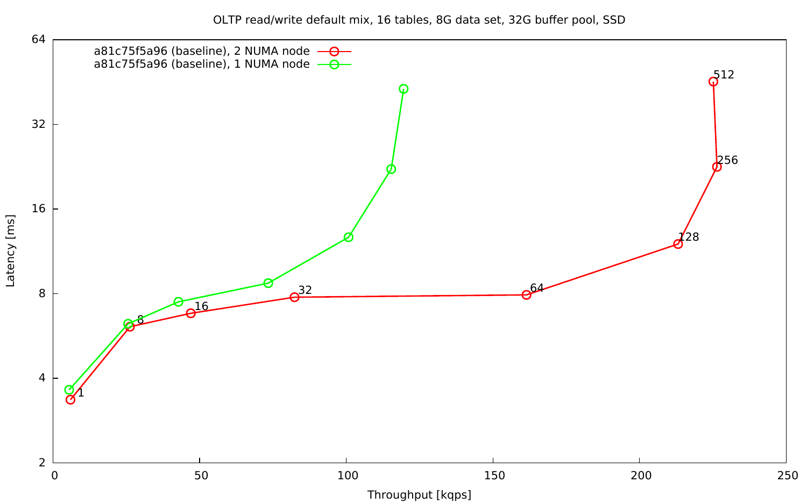OLTP read/write default mix, 16 tables, 8G data set, 32G buffer pool, SSD

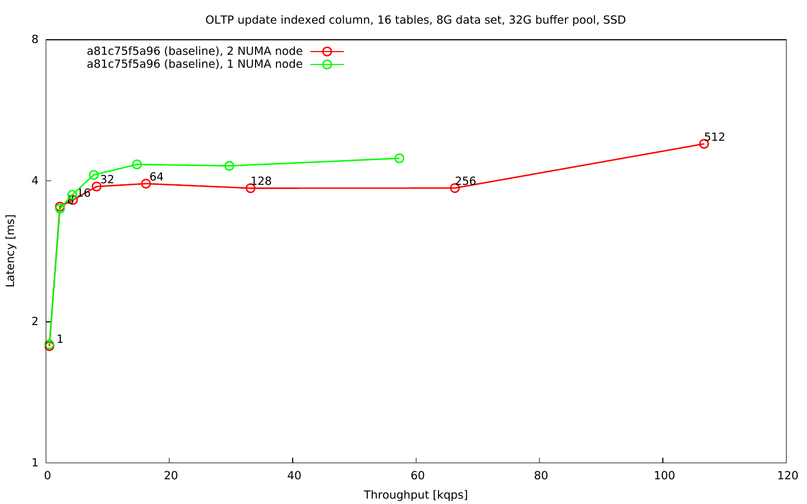OLTP update indexed column, 16 tables, 8G data set, 32G buffer pool, SSD

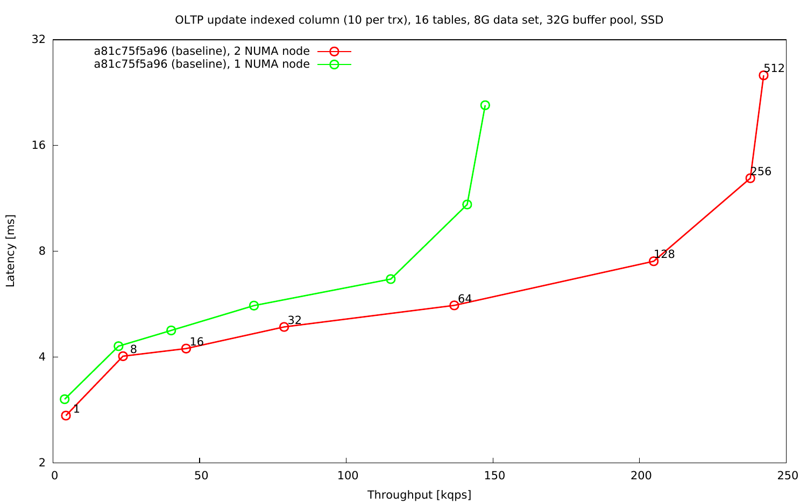OLTP update indexed column (10 per trx), 16 tables, 8G data set, 32G buffer pool, SSD

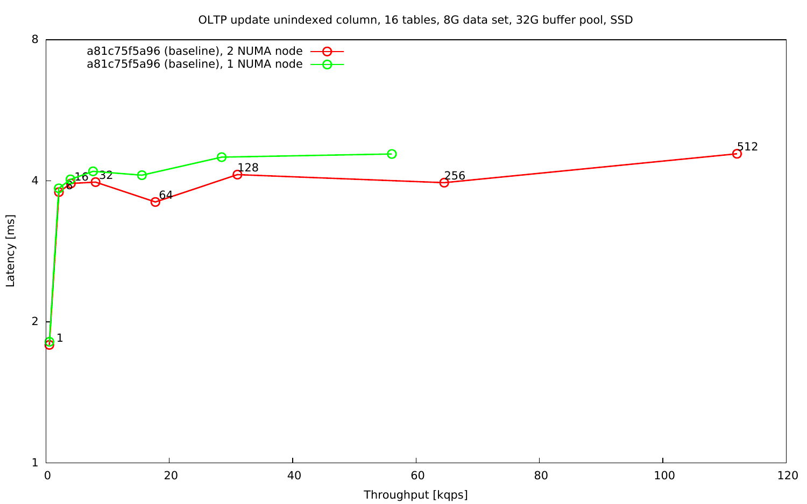OLTP update unindexed column, 16 tables, 8G data set, 32G buffer pool, SSD